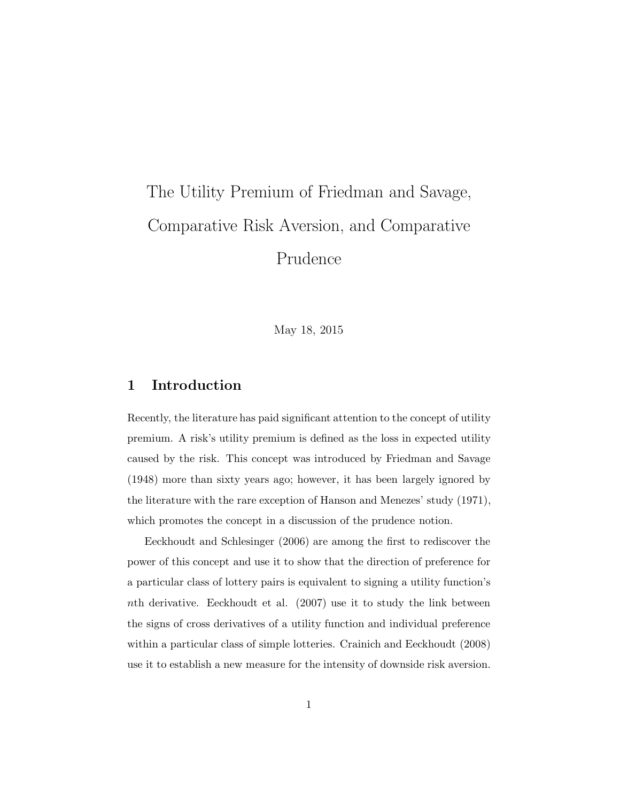# The Utility Premium of Friedman and Savage, Comparative Risk Aversion, and Comparative Prudence

May 18, 2015

## 1 Introduction

Recently, the literature has paid significant attention to the concept of utility premium. A risk's utility premium is defined as the loss in expected utility caused by the risk. This concept was introduced by Friedman and Savage (1948) more than sixty years ago; however, it has been largely ignored by the literature with the rare exception of Hanson and Menezes' study (1971), which promotes the concept in a discussion of the prudence notion.

Eeckhoudt and Schlesinger (2006) are among the first to rediscover the power of this concept and use it to show that the direction of preference for a particular class of lottery pairs is equivalent to signing a utility function's nth derivative. Eeckhoudt et al. (2007) use it to study the link between the signs of cross derivatives of a utility function and individual preference within a particular class of simple lotteries. Crainich and Eeckhoudt (2008) use it to establish a new measure for the intensity of downside risk aversion.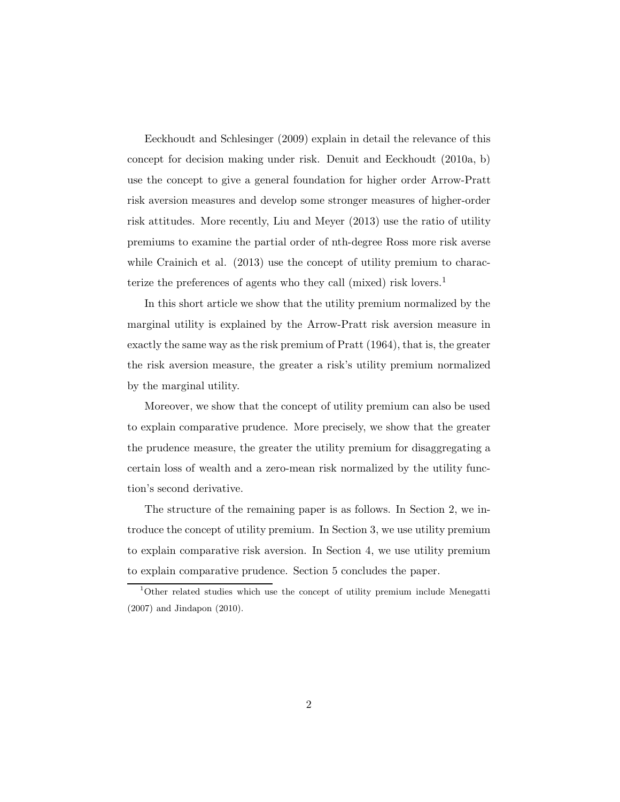Eeckhoudt and Schlesinger (2009) explain in detail the relevance of this concept for decision making under risk. Denuit and Eeckhoudt (2010a, b) use the concept to give a general foundation for higher order Arrow-Pratt risk aversion measures and develop some stronger measures of higher-order risk attitudes. More recently, Liu and Meyer (2013) use the ratio of utility premiums to examine the partial order of nth-degree Ross more risk averse while Crainich et al.  $(2013)$  use the concept of utility premium to characterize the preferences of agents who they call (mixed) risk lovers.<sup>1</sup>

In this short article we show that the utility premium normalized by the marginal utility is explained by the Arrow-Pratt risk aversion measure in exactly the same way as the risk premium of Pratt (1964), that is, the greater the risk aversion measure, the greater a risk's utility premium normalized by the marginal utility.

Moreover, we show that the concept of utility premium can also be used to explain comparative prudence. More precisely, we show that the greater the prudence measure, the greater the utility premium for disaggregating a certain loss of wealth and a zero-mean risk normalized by the utility function's second derivative.

The structure of the remaining paper is as follows. In Section 2, we introduce the concept of utility premium. In Section 3, we use utility premium to explain comparative risk aversion. In Section 4, we use utility premium to explain comparative prudence. Section 5 concludes the paper.

<sup>1</sup>Other related studies which use the concept of utility premium include Menegatti (2007) and Jindapon (2010).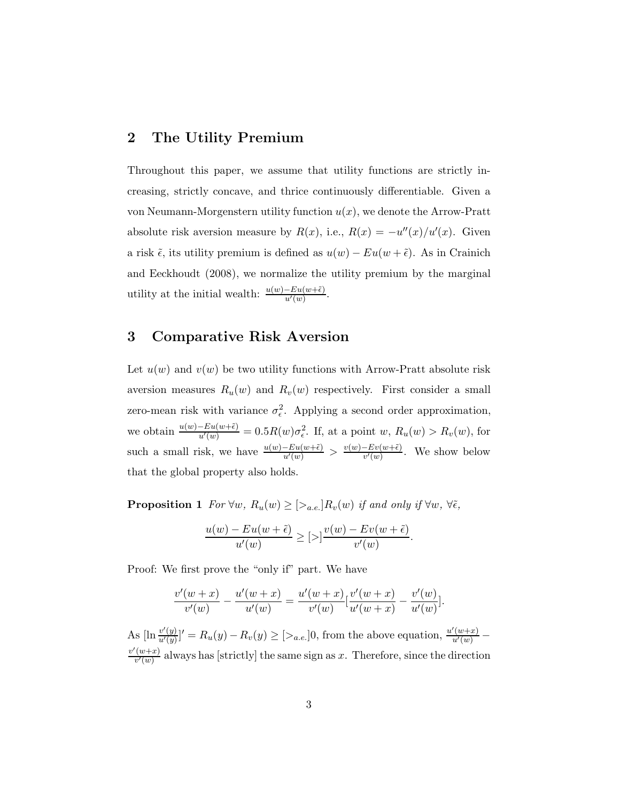### 2 The Utility Premium

Throughout this paper, we assume that utility functions are strictly increasing, strictly concave, and thrice continuously differentiable. Given a von Neumann-Morgenstern utility function  $u(x)$ , we denote the Arrow-Pratt absolute risk aversion measure by  $R(x)$ , i.e.,  $R(x) = -u''(x)/u'(x)$ . Given a risk  $\tilde{\epsilon}$ , its utility premium is defined as  $u(w) - Eu(w + \tilde{\epsilon})$ . As in Crainich and Eeckhoudt (2008), we normalize the utility premium by the marginal utility at the initial wealth:  $\frac{u(w)-Eu(w+\tilde{\epsilon})}{u'(w)}$ .

#### 3 Comparative Risk Aversion

Let  $u(w)$  and  $v(w)$  be two utility functions with Arrow-Pratt absolute risk aversion measures  $R_u(w)$  and  $R_v(w)$  respectively. First consider a small zero-mean risk with variance  $\sigma_{\epsilon}^2$ . Applying a second order approximation, we obtain  $\frac{u(w)-Eu(w+\tilde{\epsilon})}{u'(w)}=0.5R(w)\sigma_{\epsilon}^2$ . If, at a point  $w, R_u(w) > R_v(w)$ , for such a small risk, we have  $\frac{u(w)-Eu(w+\tilde{\epsilon})}{u'(w)} > \frac{v(w)-Ev(w+\tilde{\epsilon})}{v'(w)}$  $\frac{-Ev(w+\epsilon)}{v'(w)}$ . We show below that the global property also holds.

**Proposition 1** For  $\forall w, R_u(w) \geq [\geq_{a.e.}] R_v(w)$  if and only if  $\forall w, \forall \tilde{\epsilon}$ ,

$$
\frac{u(w) - Eu(w + \tilde{\epsilon})}{u'(w)} \geq [0] \frac{v(w) - Ev(w + \tilde{\epsilon})}{v'(w)}.
$$

Proof: We first prove the "only if" part. We have

$$
\frac{v'(w+x)}{v'(w)} - \frac{u'(w+x)}{u'(w)} = \frac{u'(w+x)}{v'(w)} \left[\frac{v'(w+x)}{u'(w+x)} - \frac{v'(w)}{u'(w)}\right].
$$

As  $[\ln \frac{v'(y)}{u'(y)}]' = R_u(y) - R_v(y) \ge [>_{a.e.}]0$ , from the above equation,  $\frac{u'(w+x)}{u'(w)}$  $v'(w+x)$  $\frac{(w+x)}{v'(w)}$  always has [strictly] the same sign as x. Therefore, since the direction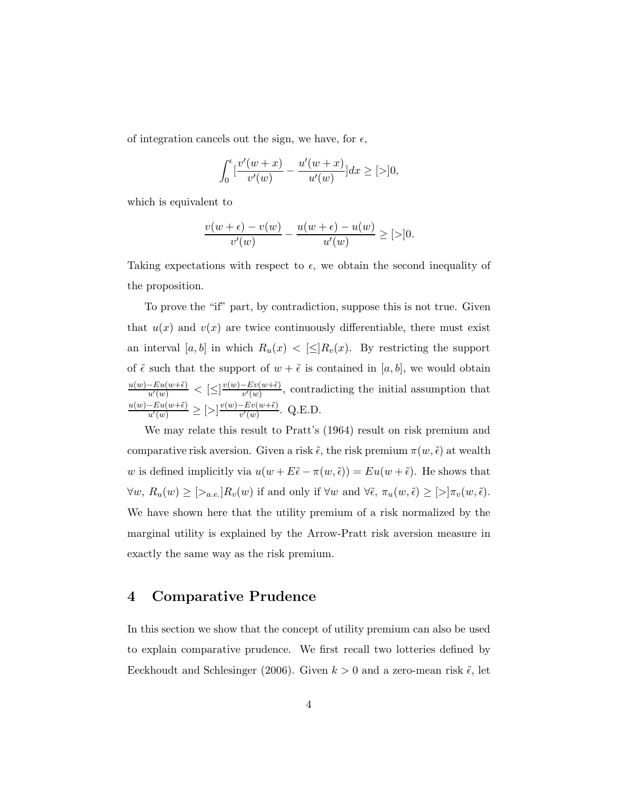of integration cancels out the sign, we have, for  $\epsilon$ ,

$$
\int_0^{\epsilon} \left[\frac{v'(w+x)}{v'(w)} - \frac{u'(w+x)}{u'(w)}\right] dx \ge [>\,]0,
$$

which is equivalent to

$$
\frac{v(w+\epsilon)-v(w)}{v'(w)}-\frac{u(w+\epsilon)-u(w)}{u'(w)}\geq [>]0.
$$

Taking expectations with respect to  $\epsilon$ , we obtain the second inequality of the proposition.

To prove the "if" part, by contradiction, suppose this is not true. Given that  $u(x)$  and  $v(x)$  are twice continuously differentiable, there must exist an interval [a, b] in which  $R_u(x) < [\leq] R_v(x)$ . By restricting the support of  $\tilde{\epsilon}$  such that the support of  $w + \tilde{\epsilon}$  is contained in [a, b], we would obtain  $\frac{u(w)-Eu(w+\tilde{\epsilon})}{u'(w)} \leq \left[\leq\right] \frac{v(w)-Ev(w+\tilde{\epsilon})}{v'(w)}$  $\frac{-Ev(w+\epsilon)}{v'(w)}$ , contradicting the initial assumption that  $\frac{u(w)-Eu(w+\tilde{\epsilon})}{u'(w)} \geq [\geq] \frac{v(w)-Ev(w+\tilde{\epsilon})}{v'(w)}$  $\frac{-Ev(w+\epsilon)}{v'(w)}$ . Q.E.D.

We may relate this result to Pratt's (1964) result on risk premium and comparative risk aversion. Given a risk  $\tilde{\epsilon}$ , the risk premium  $\pi(w, \tilde{\epsilon})$  at wealth w is defined implicitly via  $u(w + E\tilde{\epsilon} - \pi(w, \tilde{\epsilon})) = Eu(w + \tilde{\epsilon})$ . He shows that  $\forall w, R_u(w) \geq [\geq_{a.e.}] R_v(w)$  if and only if  $\forall w$  and  $\forall \tilde{\epsilon}, \pi_u(w, \tilde{\epsilon}) \geq [\geq] \pi_v(w, \tilde{\epsilon}).$ We have shown here that the utility premium of a risk normalized by the marginal utility is explained by the Arrow-Pratt risk aversion measure in exactly the same way as the risk premium.

#### 4 Comparative Prudence

In this section we show that the concept of utility premium can also be used to explain comparative prudence. We first recall two lotteries defined by Eeckhoudt and Schlesinger (2006). Given  $k > 0$  and a zero-mean risk  $\tilde{\epsilon}$ , let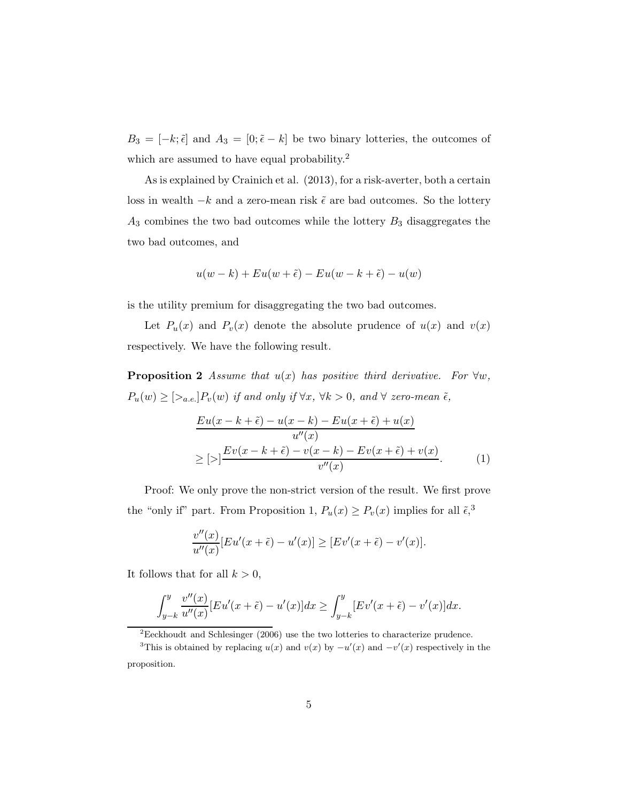$B_3 = [-k; \tilde{\epsilon}]$  and  $A_3 = [0; \tilde{\epsilon} - k]$  be two binary lotteries, the outcomes of which are assumed to have equal probability.<sup>2</sup>

As is explained by Crainich et al. (2013), for a risk-averter, both a certain loss in wealth  $-k$  and a zero-mean risk  $\tilde{\epsilon}$  are bad outcomes. So the lottery  $A_3$  combines the two bad outcomes while the lottery  $B_3$  disaggregates the two bad outcomes, and

$$
u(w-k) + Eu(w+\tilde{\epsilon}) - Eu(w-k+\tilde{\epsilon}) - u(w)
$$

is the utility premium for disaggregating the two bad outcomes.

Let  $P_u(x)$  and  $P_v(x)$  denote the absolute prudence of  $u(x)$  and  $v(x)$ respectively. We have the following result.

**Proposition 2** Assume that  $u(x)$  has positive third derivative. For  $\forall w$ ,  $P_u(w) \geq [\geq_{a.e.}] P_v(w)$  if and only if  $\forall x, \forall k > 0$ , and  $\forall$  zero-mean  $\tilde{\epsilon}$ ,

$$
\frac{Eu(x-k+\tilde{\epsilon}) - u(x-k) - Eu(x+\tilde{\epsilon}) + u(x)}{u''(x)}
$$
  
\n
$$
\geq [>\] \frac{Ev(x-k+\tilde{\epsilon}) - v(x-k) - Ev(x+\tilde{\epsilon}) + v(x)}{v''(x)}.
$$
 (1)

Proof: We only prove the non-strict version of the result. We first prove the "only if" part. From Proposition 1,  $P_u(x) \ge P_v(x)$  implies for all  $\tilde{\epsilon},^3$ 

$$
\frac{v''(x)}{u''(x)}[Eu'(x+\tilde{\epsilon})-u'(x)] \ge [Ev'(x+\tilde{\epsilon})-v'(x)].
$$

It follows that for all  $k > 0$ ,

$$
\int_{y-k}^{y} \frac{v''(x)}{u''(x)} [Eu'(x+\tilde{\epsilon}) - u'(x)] dx \ge \int_{y-k}^{y} [Ev'(x+\tilde{\epsilon}) - v'(x)] dx.
$$

<sup>2</sup>Eeckhoudt and Schlesinger (2006) use the two lotteries to characterize prudence.

<sup>&</sup>lt;sup>3</sup>This is obtained by replacing  $u(x)$  and  $v(x)$  by  $-u'(x)$  and  $-v'(x)$  respectively in the proposition.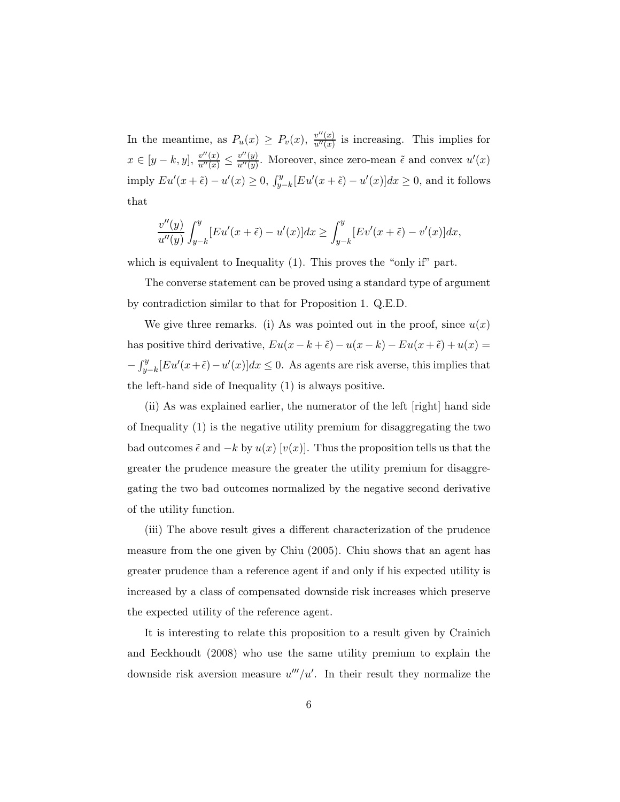In the meantime, as  $P_u(x) \geq P_v(x)$ ,  $\frac{v''(x)}{u''(x)}$  $\frac{\partial^{\alpha}(x)}{\partial u^{\prime\prime}(x)}$  is increasing. This implies for  $x \in [y-k, y], \frac{v''(x)}{u''(x)} \leq \frac{v''(y)}{u''(y)}$  $\frac{v''(y)}{u''(y)}$ . Moreover, since zero-mean  $\tilde{\epsilon}$  and convex  $u'(x)$ imply  $Eu'(x+\tilde{\epsilon}) - u'(x) \ge 0$ ,  $\int_{y-k}^{y} [Eu'(x+\tilde{\epsilon}) - u'(x)]dx \ge 0$ , and it follows that

$$
\frac{v''(y)}{u''(y)}\int_{y-k}^{y} [Eu'(x+\tilde{\epsilon})-u'(x)]dx \ge \int_{y-k}^{y} [Ev'(x+\tilde{\epsilon})-v'(x)]dx,
$$

which is equivalent to Inequality (1). This proves the "only if" part.

The converse statement can be proved using a standard type of argument by contradiction similar to that for Proposition 1. Q.E.D.

We give three remarks. (i) As was pointed out in the proof, since  $u(x)$ has positive third derivative,  $Eu(x-k+\tilde{\epsilon}) - u(x-k) - Eu(x+\tilde{\epsilon}) + u(x) =$  $-\int_{y-k}^{y} [Eu'(x+\tilde{\epsilon}) - u'(x)]dx \leq 0$ . As agents are risk averse, this implies that the left-hand side of Inequality (1) is always positive.

(ii) As was explained earlier, the numerator of the left [right] hand side of Inequality (1) is the negative utility premium for disaggregating the two bad outcomes  $\tilde{\epsilon}$  and  $-k$  by  $u(x)$  [ $v(x)$ ]. Thus the proposition tells us that the greater the prudence measure the greater the utility premium for disaggregating the two bad outcomes normalized by the negative second derivative of the utility function.

(iii) The above result gives a different characterization of the prudence measure from the one given by Chiu (2005). Chiu shows that an agent has greater prudence than a reference agent if and only if his expected utility is increased by a class of compensated downside risk increases which preserve the expected utility of the reference agent.

It is interesting to relate this proposition to a result given by Crainich and Eeckhoudt (2008) who use the same utility premium to explain the downside risk aversion measure  $u'''/u'$ . In their result they normalize the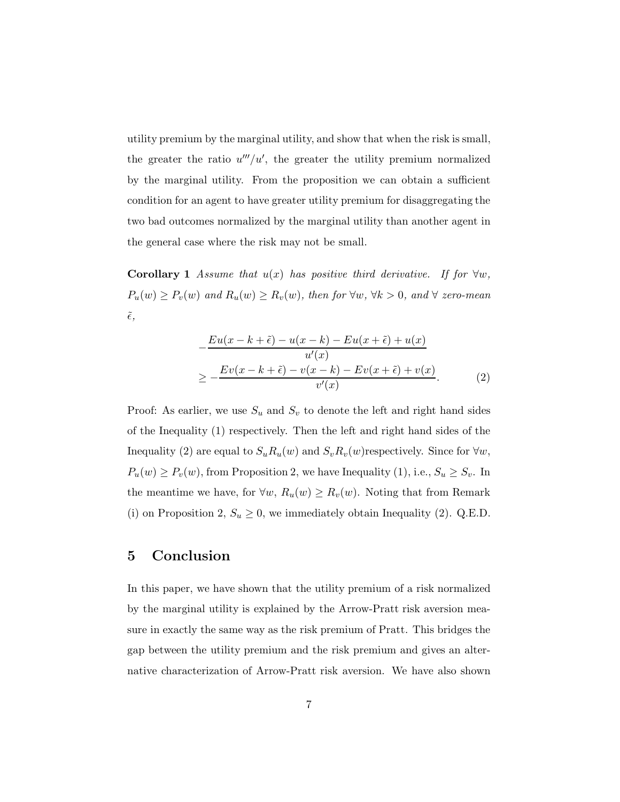utility premium by the marginal utility, and show that when the risk is small, the greater the ratio  $u'''/u'$ , the greater the utility premium normalized by the marginal utility. From the proposition we can obtain a sufficient condition for an agent to have greater utility premium for disaggregating the two bad outcomes normalized by the marginal utility than another agent in the general case where the risk may not be small.

**Corollary 1** Assume that  $u(x)$  has positive third derivative. If for  $\forall w$ ,  $P_u(w) \ge P_v(w)$  and  $R_u(w) \ge R_v(w)$ , then for  $\forall w, \forall k > 0$ , and  $\forall$  zero-mean  $\tilde{\epsilon},$ 

$$
-\frac{Eu(x-k+\tilde{\epsilon}) - u(x-k) - Eu(x+\tilde{\epsilon}) + u(x)}{u'(x)}
$$
  
\n
$$
\geq -\frac{Ev(x-k+\tilde{\epsilon}) - v(x-k) - Ev(x+\tilde{\epsilon}) + v(x)}{v'(x)}.
$$
 (2)

Proof: As earlier, we use  $S_u$  and  $S_v$  to denote the left and right hand sides of the Inequality (1) respectively. Then the left and right hand sides of the Inequality (2) are equal to  $S_u R_u(w)$  and  $S_v R_v(w)$ respectively. Since for  $\forall w$ ,  $P_u(w) \ge P_v(w)$ , from Proposition 2, we have Inequality (1), i.e.,  $S_u \ge S_v$ . In the meantime we have, for  $\forall w, R_u(w) \ge R_v(w)$ . Noting that from Remark (i) on Proposition 2,  $S_u \geq 0$ , we immediately obtain Inequality (2). Q.E.D.

## 5 Conclusion

In this paper, we have shown that the utility premium of a risk normalized by the marginal utility is explained by the Arrow-Pratt risk aversion measure in exactly the same way as the risk premium of Pratt. This bridges the gap between the utility premium and the risk premium and gives an alternative characterization of Arrow-Pratt risk aversion. We have also shown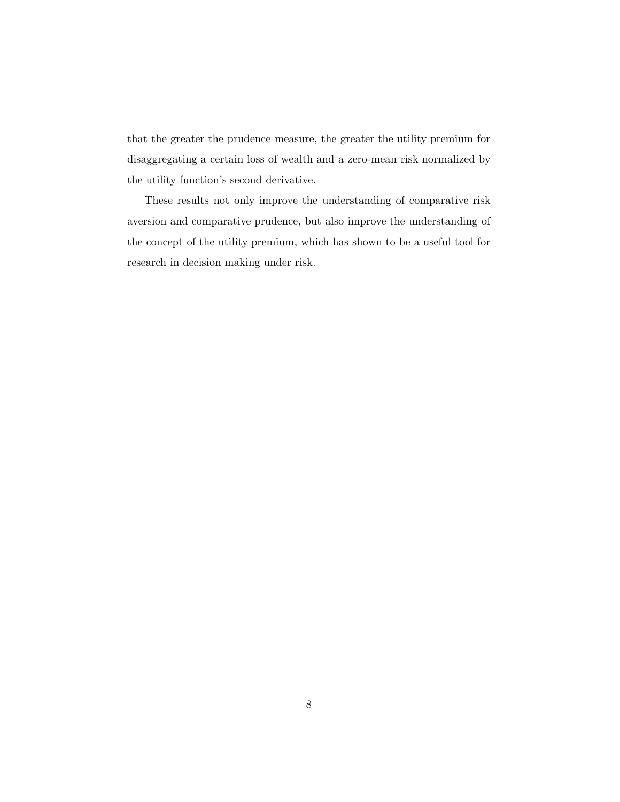that the greater the prudence measure, the greater the utility premium for disaggregating a certain loss of wealth and a zero-mean risk normalized by the utility function's second derivative.

These results not only improve the understanding of comparative risk aversion and comparative prudence, but also improve the understanding of the concept of the utility premium, which has shown to be a useful tool for research in decision making under risk.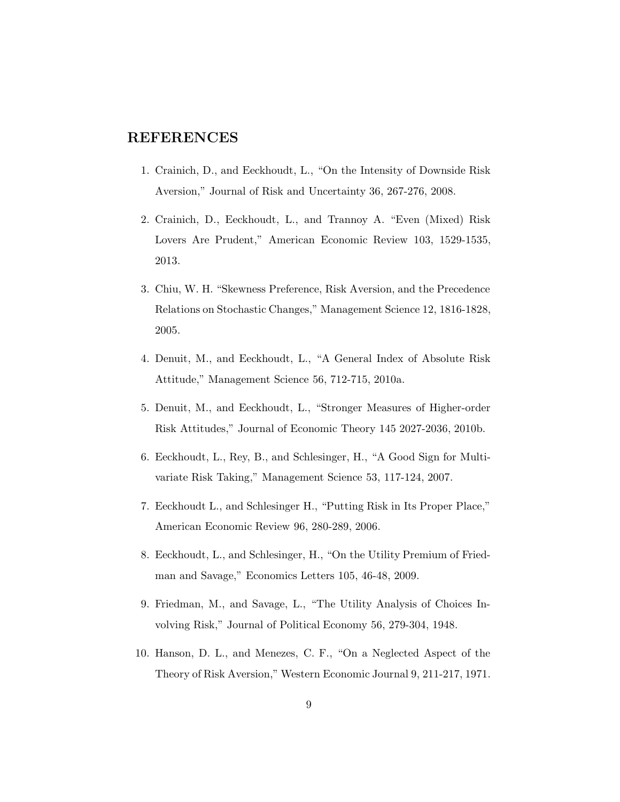## REFERENCES

- 1. Crainich, D., and Eeckhoudt, L., "On the Intensity of Downside Risk Aversion," Journal of Risk and Uncertainty 36, 267-276, 2008.
- 2. Crainich, D., Eeckhoudt, L., and Trannoy A. "Even (Mixed) Risk Lovers Are Prudent," American Economic Review 103, 1529-1535, 2013.
- 3. Chiu, W. H. "Skewness Preference, Risk Aversion, and the Precedence Relations on Stochastic Changes," Management Science 12, 1816-1828, 2005.
- 4. Denuit, M., and Eeckhoudt, L., "A General Index of Absolute Risk Attitude," Management Science 56, 712-715, 2010a.
- 5. Denuit, M., and Eeckhoudt, L., "Stronger Measures of Higher-order Risk Attitudes," Journal of Economic Theory 145 2027-2036, 2010b.
- 6. Eeckhoudt, L., Rey, B., and Schlesinger, H., "A Good Sign for Multivariate Risk Taking," Management Science 53, 117-124, 2007.
- 7. Eeckhoudt L., and Schlesinger H., "Putting Risk in Its Proper Place," American Economic Review 96, 280-289, 2006.
- 8. Eeckhoudt, L., and Schlesinger, H., "On the Utility Premium of Friedman and Savage," Economics Letters 105, 46-48, 2009.
- 9. Friedman, M., and Savage, L., "The Utility Analysis of Choices Involving Risk," Journal of Political Economy 56, 279-304, 1948.
- 10. Hanson, D. L., and Menezes, C. F., "On a Neglected Aspect of the Theory of Risk Aversion," Western Economic Journal 9, 211-217, 1971.